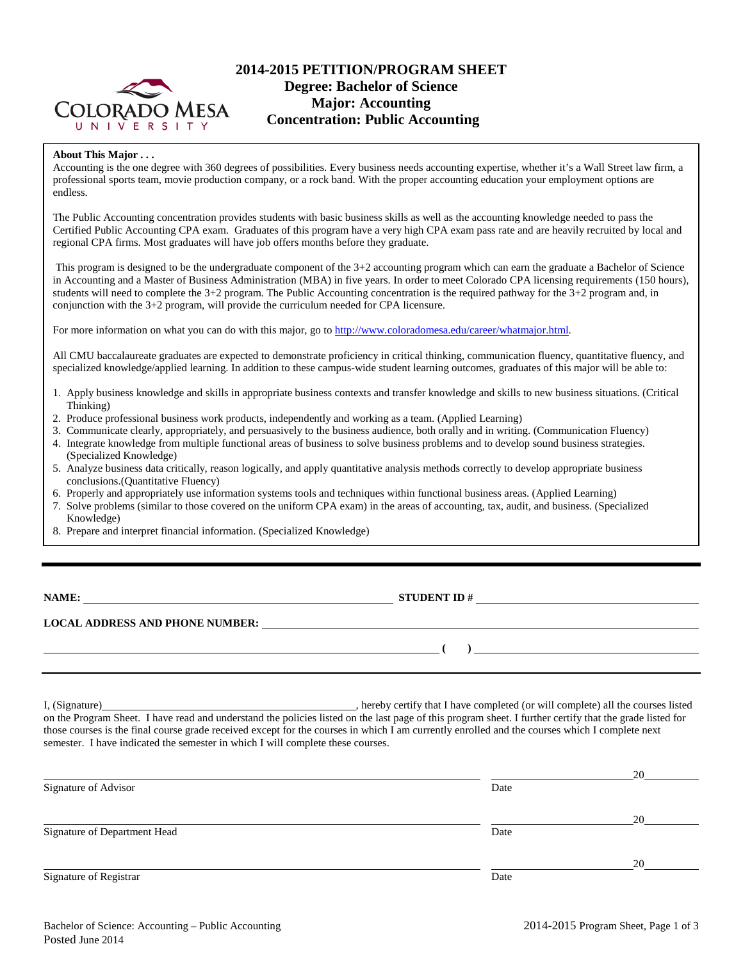

# **2014-2015 PETITION/PROGRAM SHEET Degree: Bachelor of Science Major: Accounting Concentration: Public Accounting**

#### **About This Major . . .**

Accounting is the one degree with 360 degrees of possibilities. Every business needs accounting expertise, whether it's a Wall Street law firm, a professional sports team, movie production company, or a rock band. With the proper accounting education your employment options are endless.

The Public Accounting concentration provides students with basic business skills as well as the accounting knowledge needed to pass the Certified Public Accounting CPA exam. Graduates of this program have a very high CPA exam pass rate and are heavily recruited by local and regional CPA firms. Most graduates will have job offers months before they graduate.

This program is designed to be the undergraduate component of the 3+2 accounting program which can earn the graduate a Bachelor of Science in Accounting and a Master of Business Administration (MBA) in five years. In order to meet Colorado CPA licensing requirements (150 hours), students will need to complete the 3+2 program. The Public Accounting concentration is the required pathway for the 3+2 program and, in conjunction with the 3+2 program, will provide the curriculum needed for CPA licensure.

For more information on what you can do with this major, go to [http://www.coloradomesa.edu/career/whatmajor.html.](http://www.coloradomesa.edu/career/whatmajor.html)

All CMU baccalaureate graduates are expected to demonstrate proficiency in critical thinking, communication fluency, quantitative fluency, and specialized knowledge/applied learning. In addition to these campus-wide student learning outcomes, graduates of this major will be able to:

- 1. Apply business knowledge and skills in appropriate business contexts and transfer knowledge and skills to new business situations. (Critical Thinking)
- 2. Produce professional business work products, independently and working as a team. (Applied Learning)
- 3. Communicate clearly, appropriately, and persuasively to the business audience, both orally and in writing. (Communication Fluency)
- 4. Integrate knowledge from multiple functional areas of business to solve business problems and to develop sound business strategies. (Specialized Knowledge)
- 5. Analyze business data critically, reason logically, and apply quantitative analysis methods correctly to develop appropriate business conclusions.(Quantitative Fluency)
- 6. Properly and appropriately use information systems tools and techniques within functional business areas. (Applied Learning)
- 7. Solve problems (similar to those covered on the uniform CPA exam) in the areas of accounting, tax, audit, and business. (Specialized Knowledge)
- 8. Prepare and interpret financial information. (Specialized Knowledge)

| <b>NAME:</b> |  |
|--------------|--|
|              |  |

**STUDENT ID #** 

#### **LOCAL ADDRESS AND PHONE NUMBER:**

I, (Signature) , hereby certify that I have completed (or will complete) all the courses listed on the Program Sheet. I have read and understand the policies listed on the last page of this program sheet. I further certify that the grade listed for those courses is the final course grade received except for the courses in which I am currently enrolled and the courses which I complete next semester. I have indicated the semester in which I will complete these courses.

|                              |      | 20 |
|------------------------------|------|----|
| Signature of Advisor         | Date |    |
|                              |      | 20 |
| Signature of Department Head | Date |    |
|                              |      | 20 |
| Signature of Registrar       | Date |    |

**( )**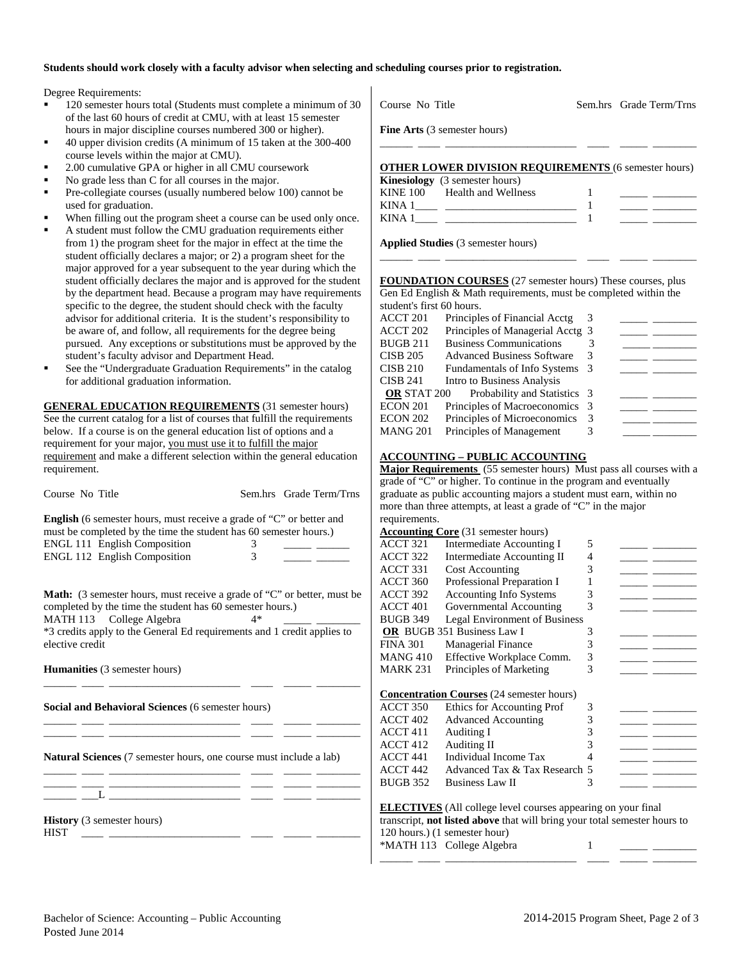### **Students should work closely with a faculty advisor when selecting and scheduling courses prior to registration.**

Degree Requirements:

- 120 semester hours total (Students must complete a minimum of 30 of the last 60 hours of credit at CMU, with at least 15 semester hours in major discipline courses numbered 300 or higher).
- 40 upper division credits (A minimum of 15 taken at the 300-400 course levels within the major at CMU).
- 2.00 cumulative GPA or higher in all CMU coursework
- No grade less than C for all courses in the major.
- Pre-collegiate courses (usually numbered below 100) cannot be used for graduation.
- When filling out the program sheet a course can be used only once.
- A student must follow the CMU graduation requirements either from 1) the program sheet for the major in effect at the time the student officially declares a major; or 2) a program sheet for the major approved for a year subsequent to the year during which the student officially declares the major and is approved for the student by the department head. Because a program may have requirements specific to the degree, the student should check with the faculty advisor for additional criteria. It is the student's responsibility to be aware of, and follow, all requirements for the degree being pursued. Any exceptions or substitutions must be approved by the student's faculty advisor and Department Head.
- See the "Undergraduate Graduation Requirements" in the catalog for additional graduation information.

**GENERAL EDUCATION REQUIREMENTS** (31 semester hours) See the current catalog for a list of courses that fulfill the requirements below. If a course is on the general education list of options and a requirement for your major, you must use it to fulfill the major requirement and make a different selection within the general education requirement.

| Course No Title                                                                                                                                                                                                                                                       |                     | Sem.hrs Grade Term/Trns |
|-----------------------------------------------------------------------------------------------------------------------------------------------------------------------------------------------------------------------------------------------------------------------|---------------------|-------------------------|
| <b>English</b> (6 semester hours, must receive a grade of "C" or better and<br>must be completed by the time the student has 60 semester hours.)<br>ENGL 111 English Composition<br>ENGL 112 English Composition                                                      | 3<br>$\overline{3}$ |                         |
| <b>Math:</b> (3 semester hours, must receive a grade of "C" or better, must be<br>completed by the time the student has 60 semester hours.)<br>MATH 113 College Algebra<br>*3 credits apply to the General Ed requirements and 1 credit applies to<br>elective credit | $4*$                |                         |
| <b>Humanities</b> (3 semester hours)                                                                                                                                                                                                                                  |                     |                         |
| Social and Behavioral Sciences (6 semester hours)                                                                                                                                                                                                                     |                     |                         |
| <b>Natural Sciences</b> (7 semester hours, one course must include a lab)<br>the contract of the contract of the contract of the contract of the contract of                                                                                                          |                     |                         |
|                                                                                                                                                                                                                                                                       |                     |                         |
| <b>History</b> (3 semester hours)<br><b>HIST</b>                                                                                                                                                                                                                      |                     |                         |

| Course No Title                     |  | Sem.hrs Grade Term/Trns |
|-------------------------------------|--|-------------------------|
| <b>Fine Arts</b> (3 semester hours) |  |                         |

### **OTHER LOWER DIVISION REQUIREMENTS** (6 semester hours)

|             | <b>Kinesiology</b> (3 semester hours) |  |
|-------------|---------------------------------------|--|
|             | KINE 100 Health and Wellness          |  |
| KINA.       |                                       |  |
| <b>KINA</b> |                                       |  |

**Applied Studies** (3 semester hours)

**FOUNDATION COURSES** (27 semester hours) These courses, plus Gen Ed English & Math requirements, must be completed within the student's first 60 hours.

\_\_\_\_\_\_ \_\_\_\_ \_\_\_\_\_\_\_\_\_\_\_\_\_\_\_\_\_\_\_\_\_\_\_\_ \_\_\_\_ \_\_\_\_\_ \_\_\_\_\_\_\_\_

| ACCT <sub>201</sub> | Principles of Financial Acctg     |   |  |
|---------------------|-----------------------------------|---|--|
| ACCT 202            | Principles of Managerial Acctg 3  |   |  |
| <b>BUGB 211</b>     | <b>Business Communications</b>    |   |  |
| <b>CISB 205</b>     | <b>Advanced Business Software</b> |   |  |
| <b>CISB 210</b>     | Fundamentals of Info Systems 3    |   |  |
| <b>CISB 241</b>     | Intro to Business Analysis        |   |  |
| <b>OR STAT 200</b>  | Probability and Statistics 3      |   |  |
| <b>ECON 201</b>     | Principles of Macroeconomics 3    |   |  |
| <b>ECON 202</b>     | Principles of Microeconomics      | 3 |  |
| <b>MANG 201</b>     | Principles of Management          |   |  |
|                     |                                   |   |  |

### **ACCOUNTING – PUBLIC ACCOUNTING**

**Major Requirements** (55 semester hours) Must pass all courses with a grade of "C" or higher. To continue in the program and eventually graduate as public accounting majors a student must earn, within no more than three attempts, at least a grade of "C" in the major requirements.

| <b>Accounting Core</b> (31 semester hours) |                                                                                  |   |  |  |  |
|--------------------------------------------|----------------------------------------------------------------------------------|---|--|--|--|
| ACCT <sub>321</sub>                        | Intermediate Accounting I                                                        | 5 |  |  |  |
| ACCT 322                                   | Intermediate Accounting II                                                       | 4 |  |  |  |
| ACCT 331                                   | <b>Cost Accounting</b>                                                           | 3 |  |  |  |
| ACCT 360                                   | Professional Preparation I                                                       | 1 |  |  |  |
| ACCT 392                                   | <b>Accounting Info Systems</b>                                                   | 3 |  |  |  |
| ACCT 401                                   | Governmental Accounting                                                          | 3 |  |  |  |
| <b>BUGB 349</b>                            | Legal Environment of Business                                                    |   |  |  |  |
|                                            | OR BUGB 351 Business Law I                                                       | 3 |  |  |  |
| <b>FINA 301</b>                            | <b>Managerial Finance</b>                                                        | 3 |  |  |  |
| <b>MANG 410</b>                            | Effective Workplace Comm.                                                        | 3 |  |  |  |
| MARK 231                                   | Principles of Marketing                                                          | 3 |  |  |  |
|                                            |                                                                                  |   |  |  |  |
|                                            | <b>Concentration Courses</b> (24 semester hours)                                 |   |  |  |  |
| <b>ACCT 350</b>                            | Ethics for Accounting Prof                                                       | 3 |  |  |  |
| ACCT 402                                   | <b>Advanced Accounting</b>                                                       | 3 |  |  |  |
| ACCT 411                                   | Auditing I                                                                       | 3 |  |  |  |
| ACCT 412                                   | Auditing II                                                                      | 3 |  |  |  |
| ACCT <sub>441</sub>                        | Individual Income Tax                                                            | 4 |  |  |  |
| <b>ACCT 442</b>                            | Advanced Tax & Tax Research 5                                                    |   |  |  |  |
| <b>BUGB 352</b>                            | Business Law II                                                                  | 3 |  |  |  |
|                                            |                                                                                  |   |  |  |  |
|                                            | <b>ELECTIVES</b> (All college level courses appearing on your final              |   |  |  |  |
|                                            | transcript, <b>not listed above</b> that will bring your total semester hours to |   |  |  |  |

120 hours.) (1 semester hour) \*MATH 113 College Algebra 1

\_\_\_\_\_\_ \_\_\_\_ \_\_\_\_\_\_\_\_\_\_\_\_\_\_\_\_\_\_\_\_\_\_\_\_ \_\_\_\_ \_\_\_\_\_ \_\_\_\_\_\_\_\_